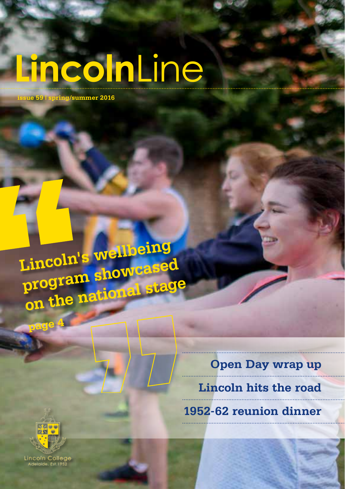# **LincolnLine**

**issue 59 | spring/summer 2016**

**Lincoln's wellbeing program showcased on the national stage**

> **Open Day wrap up Lincoln hits the road 1952-62 reunion dinner**



**page 4**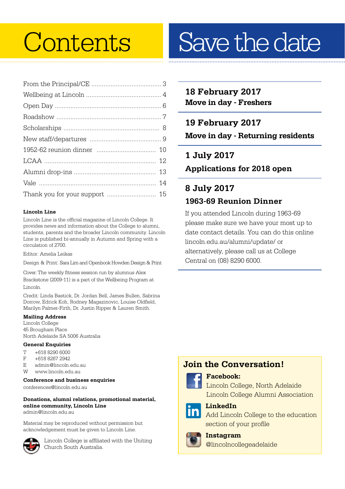#### **Lincoln Line**

Lincoln Line is the official magazine of Lincoln College. It provides news and information about the College to alumni, students, parents and the broader Lincoln community. Lincoln Line is published bi-annually in Autumn and Spring with a circulation of 2700.

Editor: Amelia Leikas

Design & Print: Sara Lim and Openbook Howden Design & Print

Cover: The weekly fitness session run by alumnus Alex Brackstone (2009-11) is a part of the Wellbeing Program at Lincoln.

Credit: Linda Bastick, Dr. Jordan Bell, James Bullen, Sabrina Dorrow, Edrick Koh, Rodney Magazinovic, Louise Oldfield, Marilyn Palmer-Firth, Dr. Justin Ripper & Lauren Smith.

#### **Mailing Address**

Lincoln College 45 Brougham Place North Adelaide SA 5006 Australia

#### **General Enquiries**

- $T +61882906000$
- +618 8267 2942
- E admin@lincoln.edu.au
- W www.lincoln.edu.au

#### **Conference and business enquiries**

conferences@lincoln.edu.au

#### **Donations, alumni relations, promotional material, online community, Lincoln Line**

admin@lincoln.edu.au

Material may be reproduced without permission but acknowledgement must be given to Lincoln Line.



Lincoln College is affiliated with the Uniting Church South Australia.

## Contents Save the date

### **18 February 2017 Move in day - Freshers**

**19 February 2017 Move in day - Returning residents**

**1 July 2017 Applications for 2018 open**

## **8 July 2017 1963-69 Reunion Dinner**

If you attended Lincoln during 1963-69 please make sure we have your most up to date contact details. You can do this online lincoln.edu.au/alumni/update/ or alternatively, please call us at College Central on (08) 8290 6000.

### **Join the Conversation!**



#### **Facebook:**

Lincoln College, North Adelaide Lincoln College Alumni Association



## **LinkedIn**

Add Lincoln College to the education section of your profile



#### **Instagram**

@lincolncollegeadelaide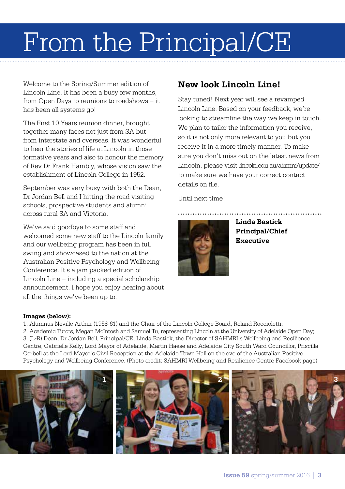## From the Principal/CE

Welcome to the Spring/Summer edition of Lincoln Line. It has been a busy few months, from Open Days to reunions to roadshows – it has been all systems go!

The First 10 Years reunion dinner, brought together many faces not just from SA but from interstate and overseas. It was wonderful to hear the stories of life at Lincoln in those formative years and also to honour the memory of Rev Dr Frank Hambly, whose vision saw the establishment of Lincoln College in 1952.

September was very busy with both the Dean, Dr Jordan Bell and I hitting the road visiting schools, prospective students and alumni across rural SA and Victoria.

We've said goodbye to some staff and welcomed some new staff to the Lincoln family and our wellbeing program has been in full swing and showcased to the nation at the Australian Positive Psychology and Wellbeing Conference. It's a jam packed edition of Lincoln Line – including a special scholarship announcement. I hope you enjoy hearing about all the things we've been up to.

### **New look Lincoln Line!**

Stay tuned! Next year will see a revamped Lincoln Line. Based on your feedback, we're looking to streamline the way we keep in touch. We plan to tailor the information you receive, so it is not only more relevant to you but you receive it in a more timely manner. To make sure you don't miss out on the latest news from Lincoln, please visit lincoln.edu.au/alumni/update/ to make sure we have your correct contact details on file.

Until next time!



**Linda Bastick Principal/Chief Executive**

#### **Images (below):**

1. Alumnus Neville Arthur (1958-61) and the Chair of the Lincoln College Board, Roland Roccioletti; 2. Academic Tutors, Megan McIntosh and Samuel Tu, representing Lincoln at the University of Adelaide Open Day; 3. (L-R) Dean, Dr Jordan Bell, Principal/CE, Linda Bastick, the Director of SAHMRI's Wellbeing and Resilience Centre, Gabrielle Kelly, Lord Mayor of Adelaide, Martin Haese and Adelaide City South Ward Councillor, Priscilla Corbell at the Lord Mayor's Civil Reception at the Adelaide Town Hall on the eve of the Australian Positive Psychology and Wellbeing Conference. (Photo credit: SAHMRI Wellbeing and Resilience Centre Facebook page)

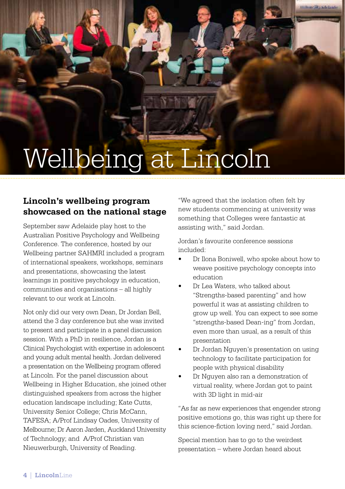## Wellbeing at Lincoln

### **Lincoln's wellbeing program showcased on the national stage**

September saw Adelaide play host to the Australian Positive Psychology and Wellbeing Conference. The conference, hosted by our Wellbeing partner SAHMRI included a program of international speakers, workshops, seminars and presentations, showcasing the latest learnings in positive psychology in education, communities and organisations – all highly relevant to our work at Lincoln.

Not only did our very own Dean, Dr Jordan Bell, attend the 3 day conference but she was invited to present and participate in a panel discussion session. With a PhD in resilience, Jordan is a Clinical Psychologist with expertise in adolescent and young adult mental health. Jordan delivered a presentation on the Wellbeing program offered at Lincoln. For the panel discussion about Wellbeing in Higher Education, she joined other distinguished speakers from across the higher education landscape including; Kate Cutts, University Senior College; Chris McCann, TAFESA; A/Prof Lindsay Oades, University of Melbourne; Dr Aaron Jarden, Auckland University of Technology; and A/Prof Christian van Nieuwerburgh, University of Reading.

"We agreed that the isolation often felt by new students commencing at university was something that Colleges were fantastic at assisting with," said Jordan.

Jordan's favourite conference sessions included:

- Dr Ilona Boniwell, who spoke about how to weave positive psychology concepts into education
- Dr Lea Waters, who talked about "Strengths-based parenting" and how powerful it was at assisting children to grow up well. You can expect to see some "strengths-based Dean-ing" from Jordan, even more than usual, as a result of this presentation
- Dr Jordan Nguyen's presentation on using technology to facilitate participation for people with physical disability
- Dr Nguyen also ran a demonstration of virtual reality, where Jordan got to paint with 3D light in mid-air

"As far as new experiences that engender strong positive emotions go, this was right up there for this science-fiction loving nerd," said Jordan.

Special mention has to go to the weirdest presentation – where Jordan heard about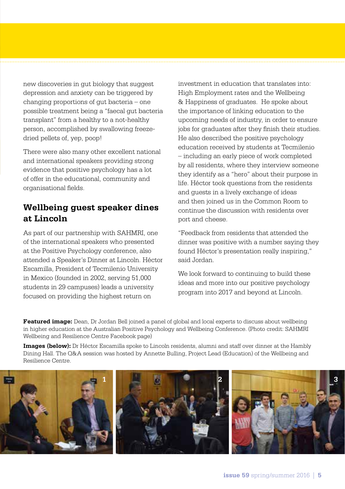new discoveries in gut biology that suggest depression and anxiety can be triggered by changing proportions of gut bacteria – one possible treatment being a "faecal gut bacteria transplant" from a healthy to a not-healthy person, accomplished by swallowing freezedried pellets of, yep, poop!

There were also many other excellent national and international speakers providing strong evidence that positive psychology has a lot of offer in the educational, community and organisational fields.

### **Wellbeing guest speaker dines at Lincoln**

As part of our partnership with SAHMRI, one of the international speakers who presented at the Positive Psychology conference, also attended a Speaker's Dinner at Lincoln. Héctor Escamilla, President of Tecmilenio University in Mexico (founded in 2002, serving 51,000 students in 29 campuses) leads a university focused on providing the highest return on

investment in education that translates into: High Employment rates and the Wellbeing & Happiness of graduates. He spoke about the importance of linking education to the upcoming needs of industry, in order to ensure jobs for graduates after they finish their studies. He also described the positive psychology education received by students at Tecmilenio – including an early piece of work completed by all residents, where they interview someone they identify as a "hero" about their purpose in life. Héctor took questions from the residents and guests in a lively exchange of ideas and then joined us in the Common Room to continue the discussion with residents over port and cheese.

"Feedback from residents that attended the dinner was positive with a number saying they found Héctor's presentation really inspiring," said Jordan.

We look forward to continuing to build these ideas and more into our positive psychology program into 2017 and beyond at Lincoln.

**Featured image:** Dean, Dr Jordan Bell joined a panel of global and local experts to discuss about wellbeing in higher education at the Australian Positive Psychology and Wellbeing Conference. (Photo credit: SAHMRI Wellbeing and Resilience Centre Facebook page)

**Images (below):** Dr Héctor Escamilla spoke to Lincoln residents, alumni and staff over dinner at the Hambly Dining Hall. The Q&A session was hosted by Annette Bulling, Project Lead (Education) of the Wellbeing and Resilience Centre.

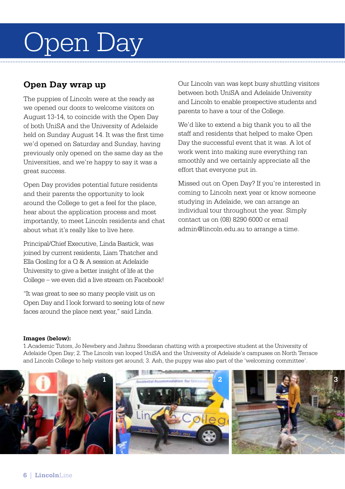## Open Day

### **Open Day wrap up**

The puppies of Lincoln were at the ready as we opened our doors to welcome visitors on August 13-14, to coincide with the Open Day of both UniSA and the University of Adelaide held on Sunday August 14. It was the first time we'd opened on Saturday and Sunday, having previously only opened on the same day as the Universities, and we're happy to say it was a great success.

Open Day provides potential future residents and their parents the opportunity to look around the College to get a feel for the place, hear about the application process and most importantly, to meet Lincoln residents and chat about what it's really like to live here.

Principal/Chief Executive, Linda Bastick, was joined by current residents, Liam Thatcher and Ella Gosling for a Q & A session at Adelaide University to give a better insight of life at the College – we even did a live stream on Facebook!

"It was great to see so many people visit us on Open Day and I look forward to seeing lots of new faces around the place next year," said Linda.

Our Lincoln van was kept busy shuttling visitors between both UniSA and Adelaide University and Lincoln to enable prospective students and parents to have a tour of the College.

We'd like to extend a big thank you to all the staff and residents that helped to make Open Day the successful event that it was. A lot of work went into making sure everything ran smoothly and we certainly appreciate all the effort that everyone put in.

Missed out on Open Day? If you're interested in coming to Lincoln next year or know someone studying in Adelaide, we can arrange an individual tour throughout the year. Simply contact us on (08) 8290 6000 or email admin@lincoln.edu.au to arrange a time.

#### **Images (below):**

1.Academic Tutors, Jo Newbery and Jishnu Sreedaran chatting with a prospective student at the University of Adelaide Open Day; 2. The Lincoln van looped UniSA and the University of Adelaide's campuses on North Terrace and Lincoln College to help visitors get around; 3. Ash, the puppy was also part of the 'welcoming committee'.

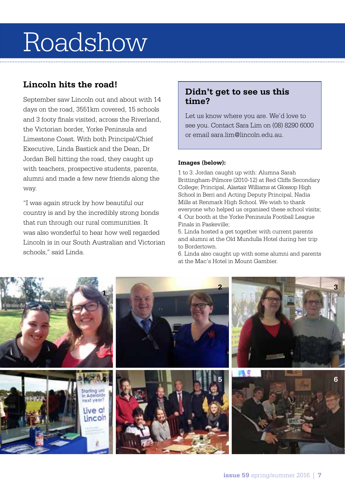## Roadshow

### **Lincoln hits the road!**

September saw Lincoln out and about with 14 days on the road, 3551km covered, 15 schools and 3 footy finals visited, across the Riverland, the Victorian border, Yorke Peninsula and Limestone Coast. With both Principal/Chief Executive, Linda Bastick and the Dean, Dr Jordan Bell hitting the road, they caught up with teachers, prospective students, parents, alumni and made a few new friends along the way.

"I was again struck by how beautiful our country is and by the incredibly strong bonds that run through our rural communities. It was also wonderful to hear how well regarded Lincoln is in our South Australian and Victorian schools," said Linda.

### **Didn't get to see us this time?**

Let us know where you are. We'd love to see you. Contact Sara Lim on (08) 8290 6000 or email sara.lim@lincoln.edu.au.

#### **Images (below):**

1 to 3. Jordan caught up with: Alumna Sarah Brittingham-Pilmore (2010-12) at Red Cliffs Secondary College; Principal, Alastair Williams at Glossop High School in Berri and Acting Deputy Principal, Nadia Mills at Renmark High School. We wish to thank everyone who helped us organised these school visits; 4. Our booth at the Yorke Peninsula Football League Finals in Paskeville;

5. Linda hosted a get together with current parents and alumni at the Old Mundulla Hotel during her trip to Bordertown.

6. Linda also caught up with some alumni and parents at the Mac's Hotel in Mount Gambier.

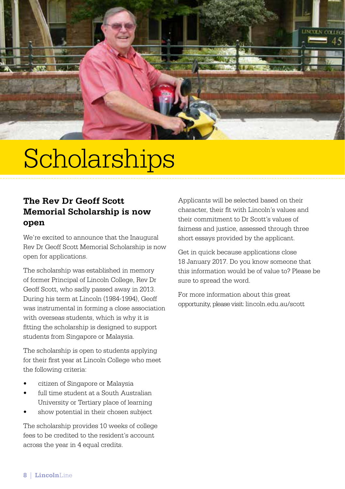

## **Scholarships**

### **The Rev Dr Geoff Scott Memorial Scholarship is now open**

We're excited to announce that the Inaugural Rev Dr Geoff Scott Memorial Scholarship is now open for applications.

The scholarship was established in memory of former Principal of Lincoln College, Rev Dr Geoff Scott, who sadly passed away in 2013. During his term at Lincoln (1984-1994), Geoff was instrumental in forming a close association with overseas students, which is why it is fitting the scholarship is designed to support students from Singapore or Malaysia.

The scholarship is open to students applying for their first year at Lincoln College who meet the following criteria:

- citizen of Singapore or Malaysia
- full time student at a South Australian University or Tertiary place of learning
- show potential in their chosen subject

The scholarship provides 10 weeks of college fees to be credited to the resident's account across the year in 4 equal credits.

Applicants will be selected based on their character, their fit with Lincoln's values and their commitment to Dr Scott's values of fairness and justice, assessed through three short essays provided by the applicant.

Get in quick because applications close 18 January 2017. Do you know someone that this information would be of value to? Please be sure to spread the word.

For more information about this great opportunity, please visit: lincoln.edu.au/scott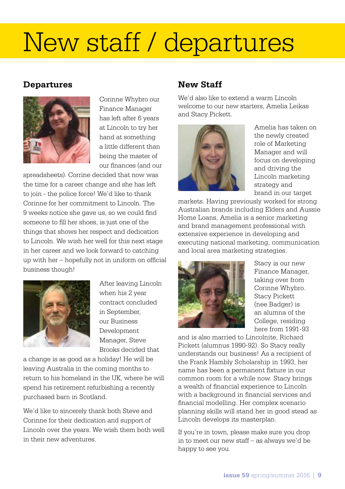## New staff / departures

### **Departures**



Corinne Whybro our Finance Manager has left after 6 years at Lincoln to try her hand at something a little different than being the master of our finances (and our

spreadsheets). Corrine decided that now was the time for a career change and she has left to join - the police force! We'd like to thank Corinne for her commitment to Lincoln. The 9 weeks notice she gave us, so we could find someone to fill her shoes, is just one of the things that shows her respect and dedication to Lincoln. We wish her well for this next stage in her career and we look forward to catching up with her – hopefully not in uniform on official business though!



After leaving Lincoln when his 2 year contract concluded in September, our Business Development Manager, Steve Brooks decided that

a change is as good as a holiday! He will be leaving Australia in the coming months to return to his homeland in the UK, where he will spend his retirement refurbishing a recently purchased barn in Scotland.

We'd like to sincerely thank both Steve and Corinne for their dedication and support of Lincoln over the years. We wish them both well in their new adventures.

## **New Staff**

We'd also like to extend a warm Lincoln welcome to our new starters, Amelia Leikas and Stacy Pickett.



Amelia has taken on the newly created role of Marketing Manager and will focus on developing and driving the Lincoln marketing strategy and brand in our target

markets. Having previously worked for strong Australian brands including Elders and Aussie Home Loans, Amelia is a senior marketing and brand management professional with extensive experience in developing and executing national marketing, communication and local area marketing strategies.



Stacy is our new Finance Manager, taking over from Corinne Whybro. Stacy Pickett (nee Badger) is an alumna of the College, residing here from 1991-93

and is also married to Lincolnite, Richard Pickett (alumnus 1990-92). So Stacy really understands our business! As a recipient of the Frank Hambly Scholarship in 1993, her name has been a permanent fixture in our common room for a while now. Stacy brings a wealth of financial experience to Lincoln with a background in financial services and financial modelling. Her complex scenario planning skills will stand her in good stead as Lincoln develops its masterplan.

If you're in town, please make sure you drop in to meet our new staff – as always we'd be happy to see you.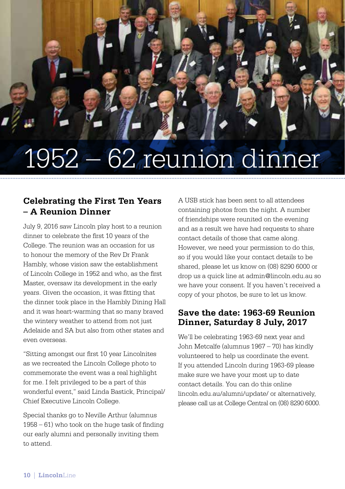## 1952 – 62 reunion dinner

## **Celebrating the First Ten Years – A Reunion Dinner**

July 9, 2016 saw Lincoln play host to a reunion dinner to celebrate the first 10 years of the College. The reunion was an occasion for us to honour the memory of the Rev Dr Frank Hambly, whose vision saw the establishment of Lincoln College in 1952 and who, as the first Master, oversaw its development in the early years. Given the occasion, it was fitting that the dinner took place in the Hambly Dining Hall and it was heart-warming that so many braved the wintery weather to attend from not just Adelaide and SA but also from other states and even overseas.

"Sitting amongst our first 10 year Lincolnites as we recreated the Lincoln College photo to commemorate the event was a real highlight for me. I felt privileged to be a part of this wonderful event," said Linda Bastick, Principal/ Chief Executive Lincoln College.

Special thanks go to Neville Arthur (alumnus 1958 – 61) who took on the huge task of finding our early alumni and personally inviting them to attend.

A USB stick has been sent to all attendees containing photos from the night. A number of friendships were reunited on the evening and as a result we have had requests to share contact details of those that came along. However, we need your permission to do this, so if you would like your contact details to be shared, please let us know on (08) 8290 6000 or drop us a quick line at admin@lincoln.edu.au so we have your consent. If you haven't received a copy of your photos, be sure to let us know.

### **Save the date: 1963-69 Reunion Dinner, Saturday 8 July, 2017**

We'll be celebrating 1963-69 next year and John Metcalfe (alumnus 1967 – 70) has kindly volunteered to help us coordinate the event. If you attended Lincoln during 1963-69 please make sure we have your most up to date contact details. You can do this online lincoln.edu.au/alumni/update/ or alternatively, please call us at College Central on (08) 8290 6000.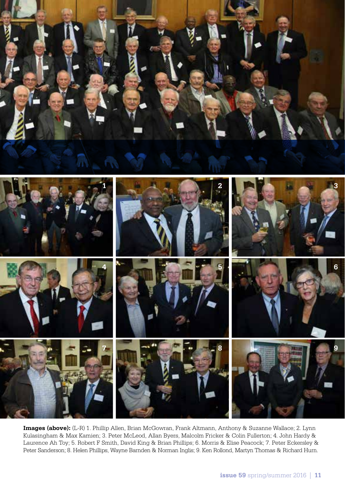



**Images (above):** (L-R) 1. Phillip Allen, Brian McGowran, Frank Altmann, Anthony & Suzanne Wallace; 2. Lynn Kulasingham & Max Kamien; 3. Peter McLeod, Allan Byers, Malcolm Fricker & Colin Fullerton; 4. John Hardy & Laurence Ah Toy; 5. Robert F Smith, David King & Brian Phillips; 6. Morris & Elise Peacock; 7. Peter Eckersley & Peter Sanderson; 8. Helen Phillips, Wayne Barnden & Norman Inglis; 9. Ken Rollond, Martyn Thomas & Richard Hurn.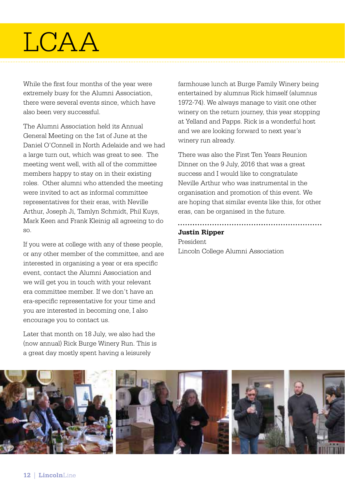## **LCAA**

While the first four months of the year were extremely busy for the Alumni Association, there were several events since, which have also been very successful.

The Alumni Association held its Annual General Meeting on the 1st of June at the Daniel O'Connell in North Adelaide and we had a large turn out, which was great to see. The meeting went well, with all of the committee members happy to stay on in their existing roles. Other alumni who attended the meeting were invited to act as informal committee representatives for their eras, with Neville Arthur, Joseph Ji, Tamlyn Schmidt, Phil Kuys, Mark Keen and Frank Kleinig all agreeing to do so.

If you were at college with any of these people, or any other member of the committee, and are interested in organising a year or era specific event, contact the Alumni Association and we will get you in touch with your relevant era committee member. If we don't have an era-specific representative for your time and you are interested in becoming one, I also encourage you to contact us.

Later that month on 18 July, we also had the (now annual) Rick Burge Winery Run. This is a great day mostly spent having a leisurely

farmhouse lunch at Burge Family Winery being entertained by alumnus Rick himself (alumnus 1972-74). We always manage to visit one other winery on the return journey, this year stopping at Yelland and Papps. Rick is a wonderful host and we are looking forward to next year's winery run already.

There was also the First Ten Years Reunion Dinner on the 9 July, 2016 that was a great success and I would like to congratulate Neville Arthur who was instrumental in the organisation and promotion of this event. We are hoping that similar events like this, for other eras, can be organised in the future.

## **Justin Ripper**

President Lincoln College Alumni Association

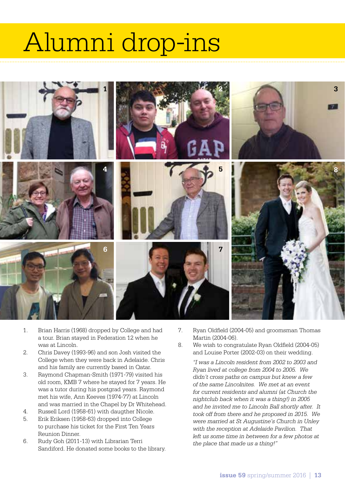## Alumni drop-ins



- 1. Brian Harris (1968) dropped by College and had a tour. Brian stayed in Federation 12 when he was at Lincoln.
- 2. Chris Davey (1993-96) and son Josh visited the College when they were back in Adelaide. Chris and his family are currently based in Qatar.
- 3. Raymond Chapman-Smith (1971-79) visited his old room, KMB 7 where he stayed for 7 years. He was a tutor during his postgrad years. Raymond met his wife, Ann Keeves (1974-77) at Lincoln and was married in the Chapel by Dr Whitehead.
- 4. Russell Lord (1958-61) with daugther Nicole.
- 5. Erik Eriksen (1958-63) dropped into College to purchase his ticket for the First Ten Years Reunion Dinner.
- 6. Rudy Goh (2011-13) with Librarian Terri Sandiford. He donated some books to the library.
- 7. Ryan Oldfield (2004-05) and groomsman Thomas Martin (2004-06).
- 8. We wish to congratulate Ryan Oldfield (2004-05) and Louise Porter (2002-03) on their wedding.

*"I was a Lincoln resident from 2002 to 2003 and Ryan lived at college from 2004 to 2005. We didn't cross paths on campus but knew a few of the same Lincolnites. We met at an event for current residents and alumni (at Church the nightclub back when it was a thing!) in 2005 and he invited me to Lincoln Ball shortly after. It took off from there and he proposed in 2015. We were married at St Augustine's Church in Unley with the reception at Adelaide Pavilion. That left us some time in between for a few photos at the place that made us a thing!"*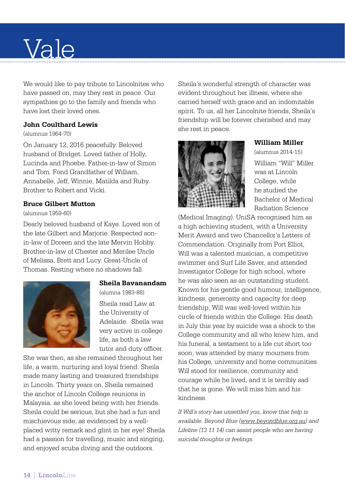## Vale

We would like to pay tribute to Lincolnites who have passed on, may they rest in peace. Our sympathies go to the family and friends who have lost their loved ones.

#### **John Coulthard Lewis**

#### (alumnus 1964-70)

On January 12, 2016 peacefully. Beloved husband of Bridget. Loved father of Holly, Lucinda and Phoebe. Father-in-law of Simon and Tom. Fond Grandfather of William, Annabelle, Jeff, Winnie, Matilda and Ruby. Brother to Robert and Vicki.

#### **Bruce Gilbert Mutton**

#### (alumnus 1959-60)

Dearly beloved husband of Kaye. Loved son of the late Gilbert and Marjorie. Respected sonin-law of Doreen and the late Mervin Hobby. Brother-in-law of Chester and Merilee Uncle of Melissa, Brett and Lucy. Great-Uncle of Thomas. Resting where no shadows fall.



#### **Sheila Bavanandam**

(alumna 1983-88)

Sheila read Law at the University of Adelaide. Sheila was very active in college life, as both a law tutor and duty officer.

She was then, as she remained throughout her life, a warm, nurturing and loyal friend. Sheila made many lasting and treasured friendships in Lincoln. Thirty years on, Sheila remained the anchor of Lincoln College reunions in Malaysia, as she loved being with her friends. Sheila could be serious, but she had a fun and mischievous side, as evidenced by a wellplaced witty remark and glint in her eye! Sheila had a passion for travelling, music and singing, and enjoyed scuba diving and the outdoors.

Sheila's wonderful strength of character was evident throughout her illness, where she carried herself with grace and an indomitable spirit. To us, all her Lincolnite friends, Sheila's friendship will be forever cherished and may she rest in peace.



#### **William Miller**

(alumnus 2014-15) William "Will" Miller was at Lincoln College, while he studied the Bachelor of Medical Radiation Science

(Medical Imaging). UniSA recognised him as a high achieving student, with a University Merit Award and two Chancellor's Letters of Commendation. Originally from Port Elliot, Will was a talented musician, a competitive swimmer and Surf Life Saver, and attended Investigator College for high school, where he was also seen as an outstanding student. Known for his gentle good humour, intelligence, kindness, generosity and capacity for deep friendship, Will was well-loved within his circle of friends within the College. His death in July this year by suicide was a shock to the College community and all who knew him, and his funeral, a testament to a life cut short too soon, was attended by many mourners from his College, university and home communities. Will stood for resilience, community and courage while he lived, and it is terribly sad that he is gone. We will miss him and his kindness.

*If Will's story has unsettled you, know that help is available. Beyond Blue (www.beyondblue.org.au) and Lifeline (13 11 14) can assist people who are having suicidal thoughts or feelings.*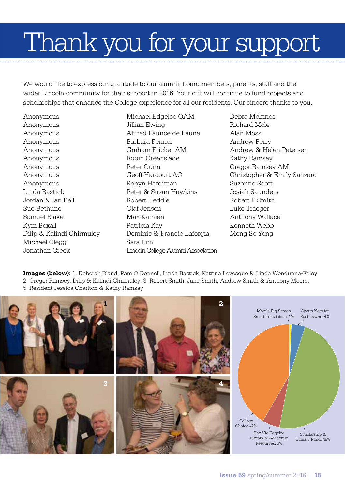## Thank you for your support

We would like to express our gratitude to our alumni, board members, parents, staff and the wider Lincoln community for their support in 2016. Your gift will continue to fund projects and scholarships that enhance the College experience for all our residents. Our sincere thanks to you.

Anonymous Anonymous Anonymous Anonymous Anonymous Anonymous Anonymous Anonymous Anonymous Linda Bastick Jordan & Ian Bell Sue Bethune Samuel Blake Kym Boxall Dilip & Kalindi Chirmuley Michael Clegg Jonathan Creek

Michael Edgeloe OAM Jillian Ewing Alured Faunce de Laune Barbara Fenner Graham Fricker AM Robin Greenslade Peter Gunn Geoff Harcourt AO Robyn Hardiman Peter & Susan Hawkins Robert Heddle Olaf Jensen Max Kamien Patricia Kay Dominic & Francie Laforgia Sara Lim Lincoln College Alumni Association Debra McInnes Richard Mole Alan Moss Andrew Perry Andrew & Helen Petersen Kathy Ramsay Gregor Ramsey AM Christopher & Emily Sanzaro Suzanne Scott Josiah Saunders Robert F Smith Luke Traeger Anthony Wallace Kenneth Webb Meng Se Yong

**Images (below):** 1. Deborah Bland, Pam O'Donnell, Linda Bastick, Katrina Levesque & Linda Wondunna-Foley; 2. Gregor Ramsey, Dilip & Kalindi Chirmuley; 3. Robert Smith, Jane Smith, Andrew Smith & Anthony Moore; 5. Resident Jessica Charlton & Kathy Ramsay